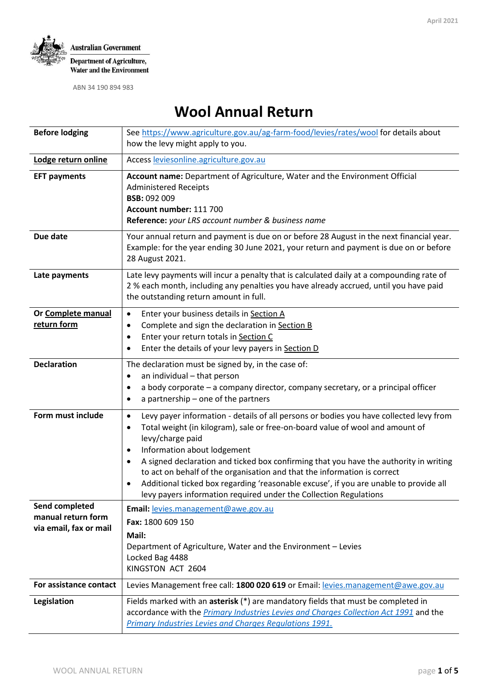

# **Wool Annual Return**

| <b>Before lodging</b>                                          | See https://www.agriculture.gov.au/ag-farm-food/levies/rates/wool for details about<br>how the levy might apply to you.                                                                                                                                                                                                                                                                                                                                                                                                                                                                                        |  |  |  |  |
|----------------------------------------------------------------|----------------------------------------------------------------------------------------------------------------------------------------------------------------------------------------------------------------------------------------------------------------------------------------------------------------------------------------------------------------------------------------------------------------------------------------------------------------------------------------------------------------------------------------------------------------------------------------------------------------|--|--|--|--|
| Lodge return online                                            | Access leviesonline.agriculture.gov.au                                                                                                                                                                                                                                                                                                                                                                                                                                                                                                                                                                         |  |  |  |  |
| <b>EFT payments</b>                                            | Account name: Department of Agriculture, Water and the Environment Official<br><b>Administered Receipts</b><br><b>BSB: 092 009</b><br>Account number: 111 700<br>Reference: your LRS account number & business name                                                                                                                                                                                                                                                                                                                                                                                            |  |  |  |  |
| Due date                                                       | Your annual return and payment is due on or before 28 August in the next financial year.<br>Example: for the year ending 30 June 2021, your return and payment is due on or before<br>28 August 2021.                                                                                                                                                                                                                                                                                                                                                                                                          |  |  |  |  |
| Late payments                                                  | Late levy payments will incur a penalty that is calculated daily at a compounding rate of<br>2 % each month, including any penalties you have already accrued, until you have paid<br>the outstanding return amount in full.                                                                                                                                                                                                                                                                                                                                                                                   |  |  |  |  |
| Or Complete manual<br>return form                              | Enter your business details in Section A<br>$\bullet$<br>Complete and sign the declaration in Section B<br>$\bullet$<br>Enter your return totals in Section C<br>$\bullet$<br>Enter the details of your levy payers in Section D<br>٠                                                                                                                                                                                                                                                                                                                                                                          |  |  |  |  |
| <b>Declaration</b>                                             | The declaration must be signed by, in the case of:<br>an individual - that person<br>٠<br>a body corporate - a company director, company secretary, or a principal officer<br>٠<br>a partnership - one of the partners                                                                                                                                                                                                                                                                                                                                                                                         |  |  |  |  |
| Form must include                                              | Levy payer information - details of all persons or bodies you have collected levy from<br>$\bullet$<br>Total weight (in kilogram), sale or free-on-board value of wool and amount of<br>$\bullet$<br>levy/charge paid<br>Information about lodgement<br>٠<br>A signed declaration and ticked box confirming that you have the authority in writing<br>$\bullet$<br>to act on behalf of the organisation and that the information is correct<br>Additional ticked box regarding 'reasonable excuse', if you are unable to provide all<br>٠<br>levy payers information required under the Collection Regulations |  |  |  |  |
| Send completed<br>manual return form<br>via email, fax or mail | Email: levies.management@awe.gov.au<br>Fax: 1800 609 150<br>Mail:<br>Department of Agriculture, Water and the Environment - Levies<br>Locked Bag 4488<br>KINGSTON ACT 2604                                                                                                                                                                                                                                                                                                                                                                                                                                     |  |  |  |  |
| For assistance contact                                         | Levies Management free call: 1800 020 619 or Email: levies.management@awe.gov.au                                                                                                                                                                                                                                                                                                                                                                                                                                                                                                                               |  |  |  |  |
| Legislation                                                    | Fields marked with an asterisk (*) are mandatory fields that must be completed in<br>accordance with the <i>Primary Industries Levies and Charges Collection Act 1991</i> and the<br><b>Primary Industries Levies and Charges Regulations 1991.</b>                                                                                                                                                                                                                                                                                                                                                            |  |  |  |  |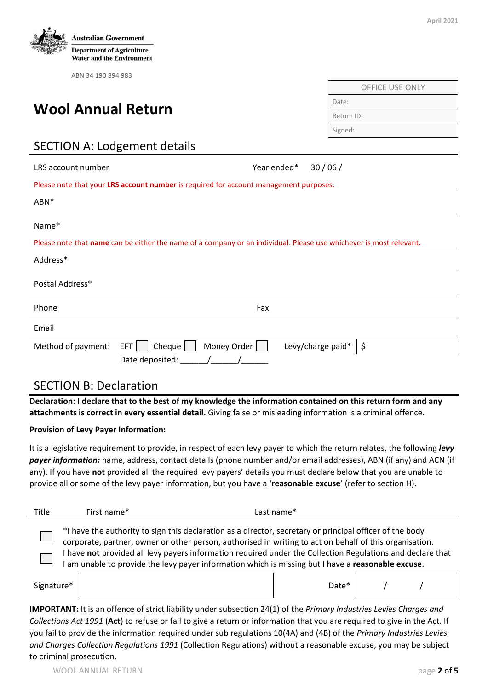

# **Wool Annual Return**

| <b>OFFICE USE ONLY</b> |  |
|------------------------|--|
| Date:                  |  |
| Return ID:             |  |
| Signed:                |  |

# SECTION A: Lodgement details

| LRS account number                                                                    | Year ended*                                                                                                        |  | 30/06/                  |  |  |  |
|---------------------------------------------------------------------------------------|--------------------------------------------------------------------------------------------------------------------|--|-------------------------|--|--|--|
| Please note that your LRS account number is required for account management purposes. |                                                                                                                    |  |                         |  |  |  |
| ABN*                                                                                  |                                                                                                                    |  |                         |  |  |  |
| Name*                                                                                 |                                                                                                                    |  |                         |  |  |  |
|                                                                                       | Please note that name can be either the name of a company or an individual. Please use whichever is most relevant. |  |                         |  |  |  |
| Address*                                                                              |                                                                                                                    |  |                         |  |  |  |
| Postal Address*                                                                       |                                                                                                                    |  |                         |  |  |  |
| Phone                                                                                 | Fax                                                                                                                |  |                         |  |  |  |
| Email                                                                                 |                                                                                                                    |  |                         |  |  |  |
| Method of payment:                                                                    | Cheque $\Box$<br>Money Order $\Box$<br>EFT    <br>Date deposited:                                                  |  | \$<br>Levy/charge paid* |  |  |  |

#### SECTION B: Declaration

**Declaration: I declare that to the best of my knowledge the information contained on this return form and any attachments is correct in every essential detail.** Giving false or misleading information is a criminal offence.

#### **Provision of Levy Payer Information:**

It is a legislative requirement to provide, in respect of each levy payer to which the return relates, the following *levy payer information:* name, address, contact details (phone number and/or email addresses), ABN (if any) and ACN (if any). If you have **not** provided all the required levy payers' details you must declare below that you are unable to provide all or some of the levy payer information, but you have a '**reasonable excuse**' (refer to section H).

| Title                                                                                                                                                                                                                                                                                                                                                                                                                               | First name* | Last name* |  |  |  |  |  |
|-------------------------------------------------------------------------------------------------------------------------------------------------------------------------------------------------------------------------------------------------------------------------------------------------------------------------------------------------------------------------------------------------------------------------------------|-------------|------------|--|--|--|--|--|
| *I have the authority to sign this declaration as a director, secretary or principal officer of the body<br>corporate, partner, owner or other person, authorised in writing to act on behalf of this organisation.<br>have not provided all levy payers information required under the Collection Regulations and declare that<br>am unable to provide the levy payer information which is missing but I have a reasonable excuse. |             |            |  |  |  |  |  |
| Signature*                                                                                                                                                                                                                                                                                                                                                                                                                          |             | Date*      |  |  |  |  |  |

**IMPORTANT:** It is an offence of strict liability under subsection 24(1) of the *Primary Industries Levies Charges and Collections Act 1991* (**Act**) to refuse or fail to give a return or information that you are required to give in the Act. If you fail to provide the information required under sub regulations 10(4A) and (4B) of the *Primary Industries Levies and Charges Collection Regulations 1991* (Collection Regulations) without a reasonable excuse, you may be subject to criminal prosecution.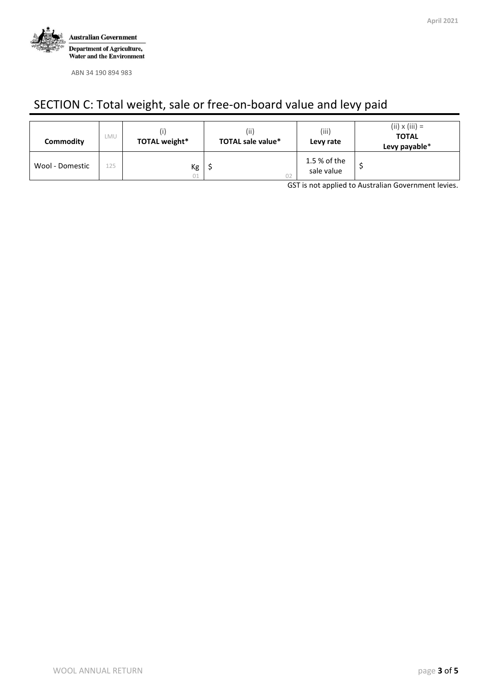

# SECTION C: Total weight, sale or free-on-board value and levy paid

| Commodity       | LMU | TOTAL weight* | (iii)<br><b>TOTAL sale value*</b> | (iii)<br>Levy rate         | $(ii) \times (iii) =$<br><b>TOTAL</b><br>Levy payable* |
|-----------------|-----|---------------|-----------------------------------|----------------------------|--------------------------------------------------------|
| Wool - Domestic | 125 | Кg<br>01      |                                   | 1.5 % of the<br>sale value |                                                        |

GST is not applied to Australian Government levies.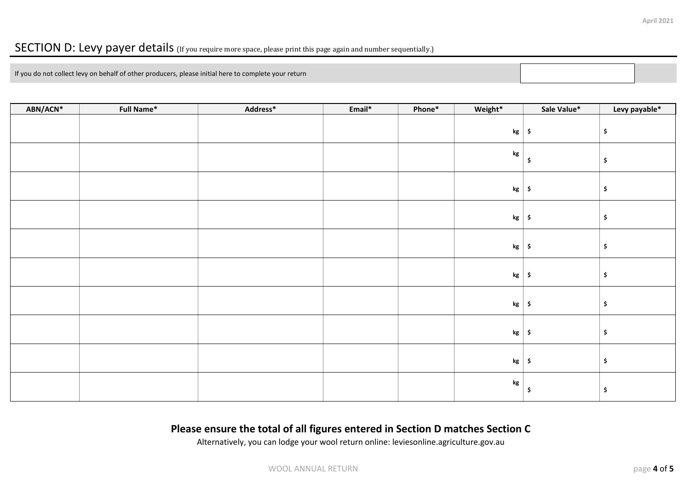## SECTION D: Levy payer details (If you require more space, please print this page again and number sequentially.)

If you do not collect levy on behalf of other producers, please initial here to complete your return

| ABN/ACN* | Full Name* | Address* | Email* | Phone* | Weight*       | Sale Value*         | Levy payable*             |
|----------|------------|----------|--------|--------|---------------|---------------------|---------------------------|
|          |            |          |        |        | $\mathbf{kg}$ | $\ddot{\bm{\zeta}}$ | \$                        |
|          |            |          |        |        | $\mathbf{kg}$ | \$                  | \$                        |
|          |            |          |        |        | $\mathsf{kg}$ | $\ddot{\bm{\zeta}}$ | $\frac{1}{2}$             |
|          |            |          |        |        | kg            | $\ddot{\mathsf{s}}$ | $\boldsymbol{\mathsf{S}}$ |
|          |            |          |        |        | $\mathsf{kg}$ | $\ddot{\bm{s}}$     | $\boldsymbol{\mathsf{S}}$ |
|          |            |          |        |        | $\mathsf{kg}$ | $\ddot{\bm{\zeta}}$ | \$                        |
|          |            |          |        |        | $\mathsf{kg}$ | $\ddot{\bm{\zeta}}$ | \$                        |
|          |            |          |        |        | $\mathsf{kg}$ | $\ddot{\bm{\zeta}}$ | \$                        |
|          |            |          |        |        | kg            | $\ddot{\bm{\zeta}}$ | $\boldsymbol{\mathsf{S}}$ |
|          |            |          |        |        | $\mathbf{kg}$ | \$                  | $\boldsymbol{\mathsf{S}}$ |

### **Please ensure the total of all figures entered in Section D matches Section C**

Alternatively, you can lodge your wool return online: leviesonline.agriculture.gov.au